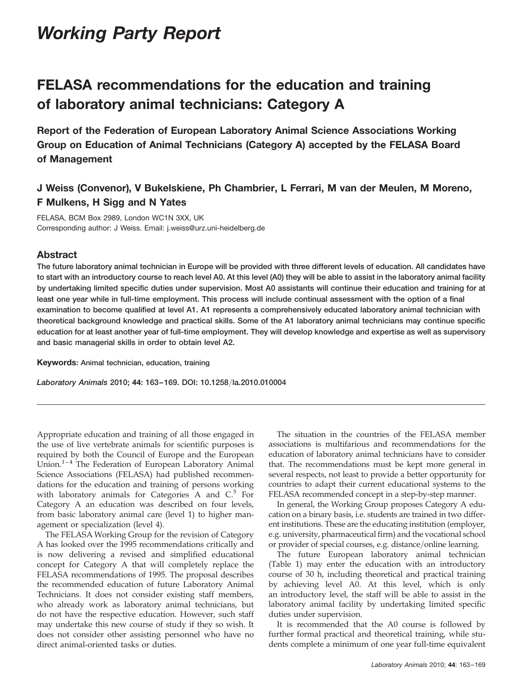# Working Party Report

# FELASA recommendations for the education and training of laboratory animal technicians: Category A

Report of the Federation of European Laboratory Animal Science Associations Working Group on Education of Animal Technicians (Category A) accepted by the FELASA Board of Management

# J Weiss (Convenor), V Bukelskiene, Ph Chambrier, L Ferrari, M van der Meulen, M Moreno, F Mulkens, H Sigg and N Yates

FELASA, BCM Box 2989, London WC1N 3XX, UK Corresponding author: J Weiss. Email: j.weiss@urz.uni-heidelberg.de

## Abstract

The future laboratory animal technician in Europe will be provided with three different levels of education. All candidates have to start with an introductory course to reach level A0. At this level (A0) they will be able to assist in the laboratory animal facility by undertaking limited specific duties under supervision. Most A0 assistants will continue their education and training for at least one year while in full-time employment. This process will include continual assessment with the option of a final examination to become qualified at level A1. A1 represents a comprehensively educated laboratory animal technician with theoretical background knowledge and practical skills. Some of the A1 laboratory animal technicians may continue specific education for at least another year of full-time employment. They will develop knowledge and expertise as well as supervisory and basic managerial skills in order to obtain level A2.

Keywords: Animal technician, education, training

Laboratory Animals 2010; 44: 163–169. DOI: 10.1258/la.2010.010004

Appropriate education and training of all those engaged in the use of live vertebrate animals for scientific purposes is required by both the Council of Europe and the European Union.<sup>1-4</sup> The Federation of European Laboratory Animal Science Associations (FELASA) had published recommendations for the education and training of persons working with laboratory animals for Categories A and  $C<sup>5</sup>$  For Category A an education was described on four levels, from basic laboratory animal care (level 1) to higher management or specialization (level 4).

The FELASA Working Group for the revision of Category A has looked over the 1995 recommendations critically and is now delivering a revised and simplified educational concept for Category A that will completely replace the FELASA recommendations of 1995. The proposal describes the recommended education of future Laboratory Animal Technicians. It does not consider existing staff members, who already work as laboratory animal technicians, but do not have the respective education. However, such staff may undertake this new course of study if they so wish. It does not consider other assisting personnel who have no direct animal-oriented tasks or duties.

The situation in the countries of the FELASA member associations is multifarious and recommendations for the education of laboratory animal technicians have to consider that. The recommendations must be kept more general in several respects, not least to provide a better opportunity for countries to adapt their current educational systems to the FELASA recommended concept in a step-by-step manner.

In general, the Working Group proposes Category A education on a binary basis, i.e. students are trained in two different institutions. These are the educating institution (employer, e.g. university, pharmaceutical firm) and the vocational school or provider of special courses, e.g. distance/online learning.

The future European laboratory animal technician (Table 1) may enter the education with an introductory course of 30 h, including theoretical and practical training by achieving level A0. At this level, which is only an introductory level, the staff will be able to assist in the laboratory animal facility by undertaking limited specific duties under supervision.

It is recommended that the A0 course is followed by further formal practical and theoretical training, while students complete a minimum of one year full-time equivalent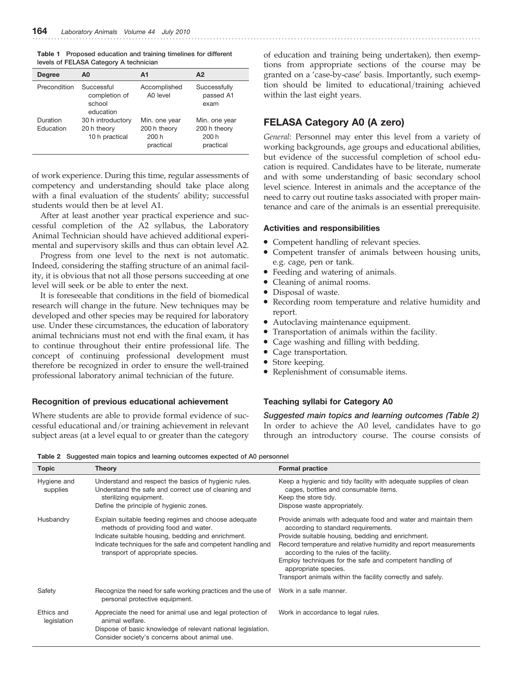|  | Table 1 Proposed education and training timelines for different |
|--|-----------------------------------------------------------------|
|  | levels of FELASA Category A technician                          |

| <b>Degree</b>                | A0                                                 | A <sub>1</sub>                                      | A2                                                  |
|------------------------------|----------------------------------------------------|-----------------------------------------------------|-----------------------------------------------------|
| Precondition                 | Successful<br>completion of<br>school<br>education | Accomplished<br>A0 level                            | Successfully<br>passed A1<br>exam                   |
| Duration<br><b>Education</b> | 30 h introductory<br>20 h theory<br>10 h practical | Min. one year<br>200 h theory<br>200 h<br>practical | Min. one year<br>200 h theory<br>200 h<br>practical |

of work experience. During this time, regular assessments of competency and understanding should take place along with a final evaluation of the students' ability; successful students would then be at level A1.

After at least another year practical experience and successful completion of the A2 syllabus, the Laboratory Animal Technician should have achieved additional experimental and supervisory skills and thus can obtain level A2.

Progress from one level to the next is not automatic. Indeed, considering the staffing structure of an animal facility, it is obvious that not all those persons succeeding at one level will seek or be able to enter the next.

It is foreseeable that conditions in the field of biomedical research will change in the future. New techniques may be developed and other species may be required for laboratory use. Under these circumstances, the education of laboratory animal technicians must not end with the final exam, it has to continue throughout their entire professional life. The concept of continuing professional development must therefore be recognized in order to ensure the well-trained professional laboratory animal technician of the future.

#### Recognition of previous educational achievement

Where students are able to provide formal evidence of successful educational and/or training achievement in relevant subject areas (at a level equal to or greater than the category

of education and training being undertaken), then exemptions from appropriate sections of the course may be granted on a 'case-by-case' basis. Importantly, such exemption should be limited to educational/training achieved within the last eight years.

# FELASA Category A0 (A zero)

General: Personnel may enter this level from a variety of working backgrounds, age groups and educational abilities, but evidence of the successful completion of school education is required. Candidates have to be literate, numerate and with some understanding of basic secondary school level science. Interest in animals and the acceptance of the need to carry out routine tasks associated with proper maintenance and care of the animals is an essential prerequisite.

#### Activities and responsibilities

- Competent handling of relevant species.
- Competent transfer of animals between housing units, e.g. cage, pen or tank.
- Feeding and watering of animals.
- Cleaning of animal rooms.
- Disposal of waste.
- † Recording room temperature and relative humidity and report.
- Autoclaving maintenance equipment.
- † Transportation of animals within the facility.
- Cage washing and filling with bedding.
- Cage transportation.
- Store keeping.
- Replenishment of consumable items.

## Teaching syllabi for Category A0

Suggested main topics and learning outcomes (Table 2) In order to achieve the A0 level, candidates have to go through an introductory course. The course consists of

Table 2 Suggested main topics and learning outcomes expected of A0 personnel

| <b>Topic</b>              | <b>Theory</b>                                                                                                                                                                                                                                          | <b>Formal practice</b>                                                                                                                                                                                                                                                                                                                                                                                                       |  |
|---------------------------|--------------------------------------------------------------------------------------------------------------------------------------------------------------------------------------------------------------------------------------------------------|------------------------------------------------------------------------------------------------------------------------------------------------------------------------------------------------------------------------------------------------------------------------------------------------------------------------------------------------------------------------------------------------------------------------------|--|
| Hygiene and<br>supplies   | Understand and respect the basics of hygienic rules.<br>Understand the safe and correct use of cleaning and<br>sterilizing equipment.<br>Define the principle of hygienic zones.                                                                       | Keep a hygienic and tidy facility with adequate supplies of clean<br>cages, bottles and consumable items.<br>Keep the store tidy.<br>Dispose waste appropriately.                                                                                                                                                                                                                                                            |  |
| Husbandry                 | Explain suitable feeding regimes and choose adequate<br>methods of providing food and water.<br>Indicate suitable housing, bedding and enrichment.<br>Indicate techniques for the safe and competent handling and<br>transport of appropriate species. | Provide animals with adequate food and water and maintain them<br>according to standard requirements.<br>Provide suitable housing, bedding and enrichment.<br>Record temperature and relative humidity and report measurements<br>according to the rules of the facility.<br>Employ techniques for the safe and competent handling of<br>appropriate species.<br>Transport animals within the facility correctly and safely. |  |
| Safety                    | Recognize the need for safe working practices and the use of Work in a safe manner.<br>personal protective equipment.                                                                                                                                  |                                                                                                                                                                                                                                                                                                                                                                                                                              |  |
| Ethics and<br>legislation | Appreciate the need for animal use and legal protection of<br>animal welfare.<br>Dispose of basic knowledge of relevant national legislation.<br>Consider society's concerns about animal use.                                                         | Work in accordance to legal rules.                                                                                                                                                                                                                                                                                                                                                                                           |  |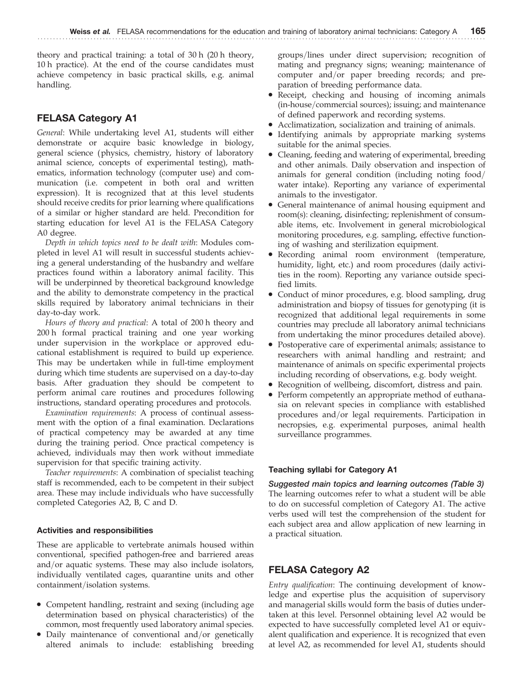theory and practical training: a total of 30 h (20 h theory, 10 h practice). At the end of the course candidates must achieve competency in basic practical skills, e.g. animal handling.

# FELASA Category A1

General: While undertaking level A1, students will either demonstrate or acquire basic knowledge in biology, general science (physics, chemistry, history of laboratory animal science, concepts of experimental testing), mathematics, information technology (computer use) and communication (i.e. competent in both oral and written expression). It is recognized that at this level students should receive credits for prior learning where qualifications of a similar or higher standard are held. Precondition for starting education for level A1 is the FELASA Category A0 degree.

Depth in which topics need to be dealt with: Modules completed in level A1 will result in successful students achieving a general understanding of the husbandry and welfare practices found within a laboratory animal facility. This will be underpinned by theoretical background knowledge and the ability to demonstrate competency in the practical skills required by laboratory animal technicians in their day-to-day work.

Hours of theory and practical: A total of 200 h theory and 200 h formal practical training and one year working under supervision in the workplace or approved educational establishment is required to build up experience. This may be undertaken while in full-time employment during which time students are supervised on a day-to-day basis. After graduation they should be competent to perform animal care routines and procedures following instructions, standard operating procedures and protocols.

Examination requirements: A process of continual assessment with the option of a final examination. Declarations of practical competency may be awarded at any time during the training period. Once practical competency is achieved, individuals may then work without immediate supervision for that specific training activity.

Teacher requirements: A combination of specialist teaching staff is recommended, each to be competent in their subject area. These may include individuals who have successfully completed Categories A2, B, C and D.

## Activities and responsibilities

These are applicable to vertebrate animals housed within conventional, specified pathogen-free and barriered areas and/or aquatic systems. These may also include isolators, individually ventilated cages, quarantine units and other containment/isolation systems.

- Competent handling, restraint and sexing (including age determination based on physical characteristics) of the common, most frequently used laboratory animal species.
- Daily maintenance of conventional and/or genetically altered animals to include: establishing breeding

groups/lines under direct supervision; recognition of mating and pregnancy signs; weaning; maintenance of computer and/or paper breeding records; and preparation of breeding performance data.

- Receipt, checking and housing of incoming animals (in-house/commercial sources); issuing; and maintenance of defined paperwork and recording systems.
- † Acclimatization, socialization and training of animals.
- Identifying animals by appropriate marking systems suitable for the animal species.
- † Cleaning, feeding and watering of experimental, breeding and other animals. Daily observation and inspection of animals for general condition (including noting food/ water intake). Reporting any variance of experimental animals to the investigator.
- † General maintenance of animal housing equipment and room(s): cleaning, disinfecting; replenishment of consumable items, etc. Involvement in general microbiological monitoring procedures, e.g. sampling, effective functioning of washing and sterilization equipment.
- † Recording animal room environment (temperature, humidity, light, etc.) and room procedures (daily activities in the room). Reporting any variance outside specified limits.
- † Conduct of minor procedures, e.g. blood sampling, drug administration and biopsy of tissues for genotyping (it is recognized that additional legal requirements in some countries may preclude all laboratory animal technicians from undertaking the minor procedures detailed above).
- † Postoperative care of experimental animals; assistance to researchers with animal handling and restraint; and maintenance of animals on specific experimental projects including recording of observations, e.g. body weight.
- † Recognition of wellbeing, discomfort, distress and pain.
- Perform competently an appropriate method of euthanasia on relevant species in compliance with established procedures and/or legal requirements. Participation in necropsies, e.g. experimental purposes, animal health surveillance programmes.

## Teaching syllabi for Category A1

Suggested main topics and learning outcomes (Table 3) The learning outcomes refer to what a student will be able to do on successful completion of Category A1. The active verbs used will test the comprehension of the student for each subject area and allow application of new learning in a practical situation.

# FELASA Category A2

Entry qualification: The continuing development of knowledge and expertise plus the acquisition of supervisory and managerial skills would form the basis of duties undertaken at this level. Personnel obtaining level A2 would be expected to have successfully completed level A1 or equivalent qualification and experience. It is recognized that even at level A2, as recommended for level A1, students should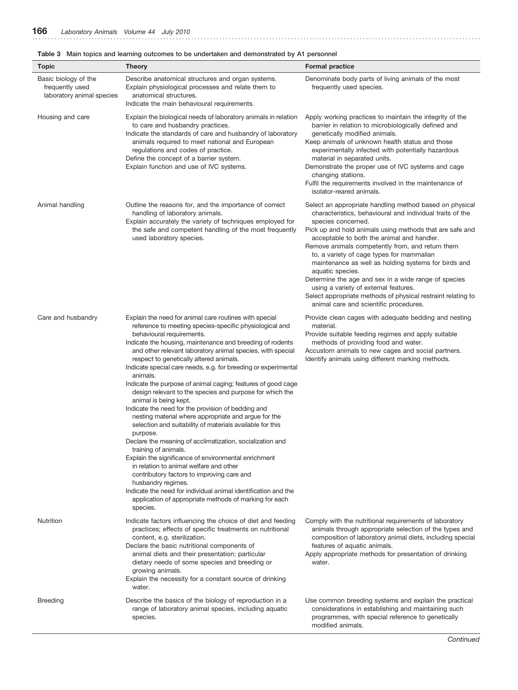| <b>Topic</b>                                                         | <b>Theory</b>                                                                                                                                                                                                                                                                                                                                                                                                                                                                                                                                                                                                                                                                                                                                                                                                                                                                                                                                                                                                                                                                                                                                      | <b>Formal practice</b>                                                                                                                                                                                                                                                                                                                                                                                                                                                                                                                                                                                                                       |
|----------------------------------------------------------------------|----------------------------------------------------------------------------------------------------------------------------------------------------------------------------------------------------------------------------------------------------------------------------------------------------------------------------------------------------------------------------------------------------------------------------------------------------------------------------------------------------------------------------------------------------------------------------------------------------------------------------------------------------------------------------------------------------------------------------------------------------------------------------------------------------------------------------------------------------------------------------------------------------------------------------------------------------------------------------------------------------------------------------------------------------------------------------------------------------------------------------------------------------|----------------------------------------------------------------------------------------------------------------------------------------------------------------------------------------------------------------------------------------------------------------------------------------------------------------------------------------------------------------------------------------------------------------------------------------------------------------------------------------------------------------------------------------------------------------------------------------------------------------------------------------------|
| Basic biology of the<br>frequently used<br>laboratory animal species | Describe anatomical structures and organ systems.<br>Explain physiological processes and relate them to<br>anatomical structures.<br>Indicate the main behavioural requirements.                                                                                                                                                                                                                                                                                                                                                                                                                                                                                                                                                                                                                                                                                                                                                                                                                                                                                                                                                                   | Denominate body parts of living animals of the most<br>frequently used species.                                                                                                                                                                                                                                                                                                                                                                                                                                                                                                                                                              |
| Housing and care                                                     | Explain the biological needs of laboratory animals in relation<br>to care and husbandry practices.<br>Indicate the standards of care and husbandry of laboratory<br>animals required to meet national and European<br>regulations and codes of practice.<br>Define the concept of a barrier system.<br>Explain function and use of IVC systems.                                                                                                                                                                                                                                                                                                                                                                                                                                                                                                                                                                                                                                                                                                                                                                                                    | Apply working practices to maintain the integrity of the<br>barrier in relation to microbiologically defined and<br>genetically modified animals.<br>Keep animals of unknown health status and those<br>experimentally infected with potentially hazardous<br>material in separated units.<br>Demonstrate the proper use of IVC systems and cage<br>changing stations.<br>Fulfil the requirements involved in the maintenance of<br>isolator-reared animals.                                                                                                                                                                                 |
| Animal handling                                                      | Outline the reasons for, and the importance of correct<br>handling of laboratory animals.<br>Explain accurately the variety of techniques employed for<br>the safe and competent handling of the most frequently<br>used laboratory species.                                                                                                                                                                                                                                                                                                                                                                                                                                                                                                                                                                                                                                                                                                                                                                                                                                                                                                       | Select an appropriate handling method based on physical<br>characteristics, behavioural and individual traits of the<br>species concerned.<br>Pick up and hold animals using methods that are safe and<br>acceptable to both the animal and handler.<br>Remove animals competently from, and return them<br>to, a variety of cage types for mammalian<br>maintenance as well as holding systems for birds and<br>aquatic species.<br>Determine the age and sex in a wide range of species<br>using a variety of external features.<br>Select appropriate methods of physical restraint relating to<br>animal care and scientific procedures. |
| Care and husbandry                                                   | Explain the need for animal care routines with special<br>reference to meeting species-specific physiological and<br>behavioural requirements.<br>Indicate the housing, maintenance and breeding of rodents<br>and other relevant laboratory animal species, with special<br>respect to genetically altered animals.<br>Indicate special care needs, e.g. for breeding or experimental<br>animals.<br>Indicate the purpose of animal caging; features of good cage<br>design relevant to the species and purpose for which the<br>animal is being kept.<br>Indicate the need for the provision of bedding and<br>nesting material where appropriate and argue for the<br>selection and suitability of materials available for this<br>purpose.<br>Declare the meaning of acclimatization, socialization and<br>training of animals.<br>Explain the significance of environmental enrichment<br>in relation to animal welfare and other<br>contributory factors to improving care and<br>husbandry regimes.<br>Indicate the need for individual animal identification and the<br>application of appropriate methods of marking for each<br>species. | Provide clean cages with adequate bedding and nesting<br>material.<br>Provide suitable feeding regimes and apply suitable<br>methods of providing food and water.<br>Accustom animals to new cages and social partners.<br>Identify animals using different marking methods.                                                                                                                                                                                                                                                                                                                                                                 |
| <b>Nutrition</b>                                                     | Indicate factors influencing the choice of diet and feeding<br>practices; effects of specific treatments on nutritional<br>content, e.g. sterilization.<br>Declare the basic nutritional components of<br>animal diets and their presentation; particular<br>dietary needs of some species and breeding or<br>growing animals.<br>Explain the necessity for a constant source of drinking<br>water.                                                                                                                                                                                                                                                                                                                                                                                                                                                                                                                                                                                                                                                                                                                                                | Comply with the nutritional requirements of laboratory<br>animals through appropriate selection of the types and<br>composition of laboratory animal diets, including special<br>features of aquatic animals.<br>Apply appropriate methods for presentation of drinking<br>water.                                                                                                                                                                                                                                                                                                                                                            |
| <b>Breeding</b>                                                      | Describe the basics of the biology of reproduction in a<br>range of laboratory animal species, including aquatic<br>species.                                                                                                                                                                                                                                                                                                                                                                                                                                                                                                                                                                                                                                                                                                                                                                                                                                                                                                                                                                                                                       | Use common breeding systems and explain the practical<br>considerations in establishing and maintaining such<br>programmes, with special reference to genetically<br>modified animals.                                                                                                                                                                                                                                                                                                                                                                                                                                                       |

### Table 3 Main topics and learning outcomes to be undertaken and demonstrated by A1 personnel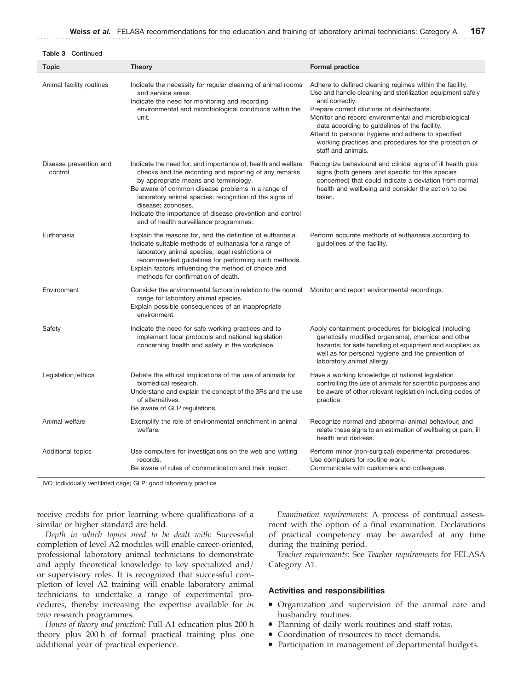| Table 3 Continued                 |                                                                                                                                                                                                                                                                                                                                                                                                            |                                                                                                                                                                                                                                                                                                                                                                                                                                       |  |
|-----------------------------------|------------------------------------------------------------------------------------------------------------------------------------------------------------------------------------------------------------------------------------------------------------------------------------------------------------------------------------------------------------------------------------------------------------|---------------------------------------------------------------------------------------------------------------------------------------------------------------------------------------------------------------------------------------------------------------------------------------------------------------------------------------------------------------------------------------------------------------------------------------|--|
| <b>Topic</b>                      | <b>Theory</b>                                                                                                                                                                                                                                                                                                                                                                                              | <b>Formal practice</b>                                                                                                                                                                                                                                                                                                                                                                                                                |  |
| Animal facility routines          | Indicate the necessity for regular cleaning of animal rooms<br>and service areas.<br>Indicate the need for monitoring and recording<br>environmental and microbiological conditions within the<br>unit.                                                                                                                                                                                                    | Adhere to defined cleaning regimes within the facility.<br>Use and handle cleaning and sterilization equipment safely<br>and correctly.<br>Prepare correct dilutions of disinfectants.<br>Monitor and record environmental and microbiological<br>data according to guidelines of the facility.<br>Attend to personal hygiene and adhere to specified<br>working practices and procedures for the protection of<br>staff and animals. |  |
| Disease prevention and<br>control | Indicate the need for, and importance of, health and welfare<br>checks and the recording and reporting of any remarks<br>by appropriate means and terminology.<br>Be aware of common disease problems in a range of<br>laboratory animal species; recognition of the signs of<br>disease: zoonoses.<br>Indicate the importance of disease prevention and control<br>and of health surveillance programmes. | Recognize behavioural and clinical signs of ill health plus<br>signs (both general and specific for the species<br>concerned) that could indicate a deviation from normal<br>health and wellbeing and consider the action to be<br>taken.                                                                                                                                                                                             |  |
| Euthanasia                        | Explain the reasons for, and the definition of euthanasia.<br>Indicate suitable methods of euthanasia for a range of<br>laboratory animal species; legal restrictions or<br>recommended guidelines for performing such methods.<br>Explain factors influencing the method of choice and<br>methods for confirmation of death.                                                                              | Perform accurate methods of euthanasia according to<br>guidelines of the facility.                                                                                                                                                                                                                                                                                                                                                    |  |
| Environment                       | Consider the environmental factors in relation to the normal<br>range for laboratory animal species.<br>Explain possible consequences of an inappropriate<br>environment.                                                                                                                                                                                                                                  | Monitor and report environmental recordings.                                                                                                                                                                                                                                                                                                                                                                                          |  |
| Safety                            | Indicate the need for safe working practices and to<br>implement local protocols and national legislation<br>concerning health and safety in the workplace.                                                                                                                                                                                                                                                | Apply containment procedures for biological (including<br>genetically modified organisms), chemical and other<br>hazards; for safe handling of equipment and supplies; as<br>well as for personal hygiene and the prevention of<br>laboratory animal allergy.                                                                                                                                                                         |  |
| Legislation/ethics                | Debate the ethical implications of the use of animals for<br>biomedical research.<br>Understand and explain the concept of the 3Rs and the use<br>of alternatives.<br>Be aware of GLP regulations.                                                                                                                                                                                                         | Have a working knowledge of national legislation<br>controlling the use of animals for scientific purposes and<br>be aware of other relevant legislation including codes of<br>practice.                                                                                                                                                                                                                                              |  |
| Animal welfare                    | Exemplify the role of environmental enrichment in animal<br>welfare.                                                                                                                                                                                                                                                                                                                                       | Recognize normal and abnormal animal behaviour; and<br>relate these signs to an estimation of wellbeing or pain, ill<br>health and distress.                                                                                                                                                                                                                                                                                          |  |
| <b>Additional topics</b>          | Use computers for investigations on the web and writing<br>records.<br>Be aware of rules of communication and their impact.                                                                                                                                                                                                                                                                                | Perform minor (non-surgical) experimental procedures.<br>Use computers for routine work.<br>Communicate with customers and colleagues.                                                                                                                                                                                                                                                                                                |  |

IVC: individually ventilated cage; GLP: good laboratory practice

receive credits for prior learning where qualifications of a similar or higher standard are held.

Depth in which topics need to be dealt with: Successful completion of level A2 modules will enable career-oriented, professional laboratory animal technicians to demonstrate and apply theoretical knowledge to key specialized and/ or supervisory roles. It is recognized that successful completion of level A2 training will enable laboratory animal technicians to undertake a range of experimental procedures, thereby increasing the expertise available for in vivo research programmes.

Hours of theory and practical: Full A1 education plus 200 h theory plus 200 h of formal practical training plus one additional year of practical experience.

Examination requirements: A process of continual assessment with the option of a final examination. Declarations of practical competency may be awarded at any time during the training period.

Teacher requirements: See Teacher requirements for FELASA Category A1.

#### Activities and responsibilities

- † Organization and supervision of the animal care and husbandry routines.
- Planning of daily work routines and staff rotas.
- † Coordination of resources to meet demands.
- Participation in management of departmental budgets.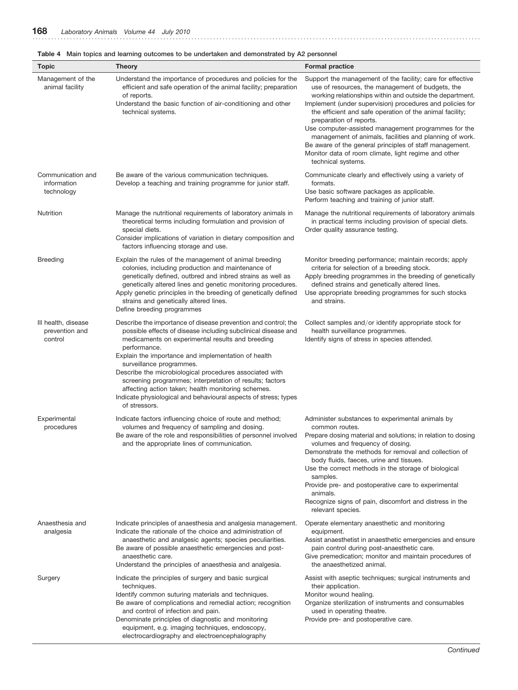| <b>Topic</b>                                     | <b>Theory</b>                                                                                                                                                                                                                                                                                                                                                                                                                                                                                                                                           | <b>Formal practice</b>                                                                                                                                                                                                                                                                                                                                                                                                                                                                                                                                                                    |
|--------------------------------------------------|---------------------------------------------------------------------------------------------------------------------------------------------------------------------------------------------------------------------------------------------------------------------------------------------------------------------------------------------------------------------------------------------------------------------------------------------------------------------------------------------------------------------------------------------------------|-------------------------------------------------------------------------------------------------------------------------------------------------------------------------------------------------------------------------------------------------------------------------------------------------------------------------------------------------------------------------------------------------------------------------------------------------------------------------------------------------------------------------------------------------------------------------------------------|
| Management of the<br>animal facility             | Understand the importance of procedures and policies for the<br>efficient and safe operation of the animal facility; preparation<br>of reports.<br>Understand the basic function of air-conditioning and other<br>technical systems.                                                                                                                                                                                                                                                                                                                    | Support the management of the facility; care for effective<br>use of resources, the management of budgets, the<br>working relationships within and outside the department.<br>Implement (under supervision) procedures and policies for<br>the efficient and safe operation of the animal facility;<br>preparation of reports.<br>Use computer-assisted management programmes for the<br>management of animals, facilities and planning of work.<br>Be aware of the general principles of staff management.<br>Monitor data of room climate, light regime and other<br>technical systems. |
| Communication and<br>information<br>technology   | Be aware of the various communication techniques.<br>Develop a teaching and training programme for junior staff.                                                                                                                                                                                                                                                                                                                                                                                                                                        | Communicate clearly and effectively using a variety of<br>formats.<br>Use basic software packages as applicable.<br>Perform teaching and training of junior staff.                                                                                                                                                                                                                                                                                                                                                                                                                        |
| Nutrition                                        | Manage the nutritional requirements of laboratory animals in<br>theoretical terms including formulation and provision of<br>special diets.<br>Consider implications of variation in dietary composition and<br>factors influencing storage and use.                                                                                                                                                                                                                                                                                                     | Manage the nutritional requirements of laboratory animals<br>in practical terms including provision of special diets.<br>Order quality assurance testing.                                                                                                                                                                                                                                                                                                                                                                                                                                 |
| <b>Breeding</b>                                  | Explain the rules of the management of animal breeding<br>colonies, including production and maintenance of<br>genetically defined, outbred and inbred strains as well as<br>genetically altered lines and genetic monitoring procedures.<br>Apply genetic principles in the breeding of genetically defined<br>strains and genetically altered lines.<br>Define breeding programmes                                                                                                                                                                    | Monitor breeding performance; maintain records; apply<br>criteria for selection of a breeding stock.<br>Apply breeding programmes in the breeding of genetically<br>defined strains and genetically altered lines.<br>Use appropriate breeding programmes for such stocks<br>and strains.                                                                                                                                                                                                                                                                                                 |
| III health, disease<br>prevention and<br>control | Describe the importance of disease prevention and control; the<br>possible effects of disease including subclinical disease and<br>medicaments on experimental results and breeding<br>performance.<br>Explain the importance and implementation of health<br>surveillance programmes.<br>Describe the microbiological procedures associated with<br>screening programmes; interpretation of results; factors<br>affecting action taken; health monitoring schemes.<br>Indicate physiological and behavioural aspects of stress; types<br>of stressors. | Collect samples and/or identify appropriate stock for<br>health surveillance programmes.<br>Identify signs of stress in species attended.                                                                                                                                                                                                                                                                                                                                                                                                                                                 |
| Experimental<br>procedures                       | Indicate factors influencing choice of route and method;<br>volumes and frequency of sampling and dosing.<br>Be aware of the role and responsibilities of personnel involved<br>and the appropriate lines of communication.                                                                                                                                                                                                                                                                                                                             | Administer substances to experimental animals by<br>common routes.<br>Prepare dosing material and solutions; in relation to dosing<br>volumes and frequency of dosing.<br>Demonstrate the methods for removal and collection of<br>body fluids, faeces, urine and tissues.<br>Use the correct methods in the storage of biological<br>samples.<br>Provide pre- and postoperative care to experimental<br>animals.<br>Recognize signs of pain, discomfort and distress in the<br>relevant species.                                                                                         |
| Anaesthesia and<br>analgesia                     | Indicate principles of anaesthesia and analgesia management.<br>Indicate the rationale of the choice and administration of<br>anaesthetic and analgesic agents; species peculiarities.<br>Be aware of possible anaesthetic emergencies and post-<br>anaesthetic care.<br>Understand the principles of anaesthesia and analgesia.                                                                                                                                                                                                                        | Operate elementary anaesthetic and monitoring<br>equipment.<br>Assist anaesthetist in anaesthetic emergencies and ensure<br>pain control during post-anaesthetic care.<br>Give premedication; monitor and maintain procedures of<br>the anaesthetized animal.                                                                                                                                                                                                                                                                                                                             |
| Surgery                                          | Indicate the principles of surgery and basic surgical<br>techniques.<br>Identify common suturing materials and techniques.<br>Be aware of complications and remedial action; recognition<br>and control of infection and pain.<br>Denominate principles of diagnostic and monitoring<br>equipment, e.g. imaging techniques, endoscopy,<br>electrocardiography and electroencephalography                                                                                                                                                                | Assist with aseptic techniques; surgical instruments and<br>their application.<br>Monitor wound healing.<br>Organize sterilization of instruments and consumables<br>used in operating theatre.<br>Provide pre- and postoperative care.                                                                                                                                                                                                                                                                                                                                                   |

Table 4 Main topics and learning outcomes to be undertaken and demonstrated by A2 personnel